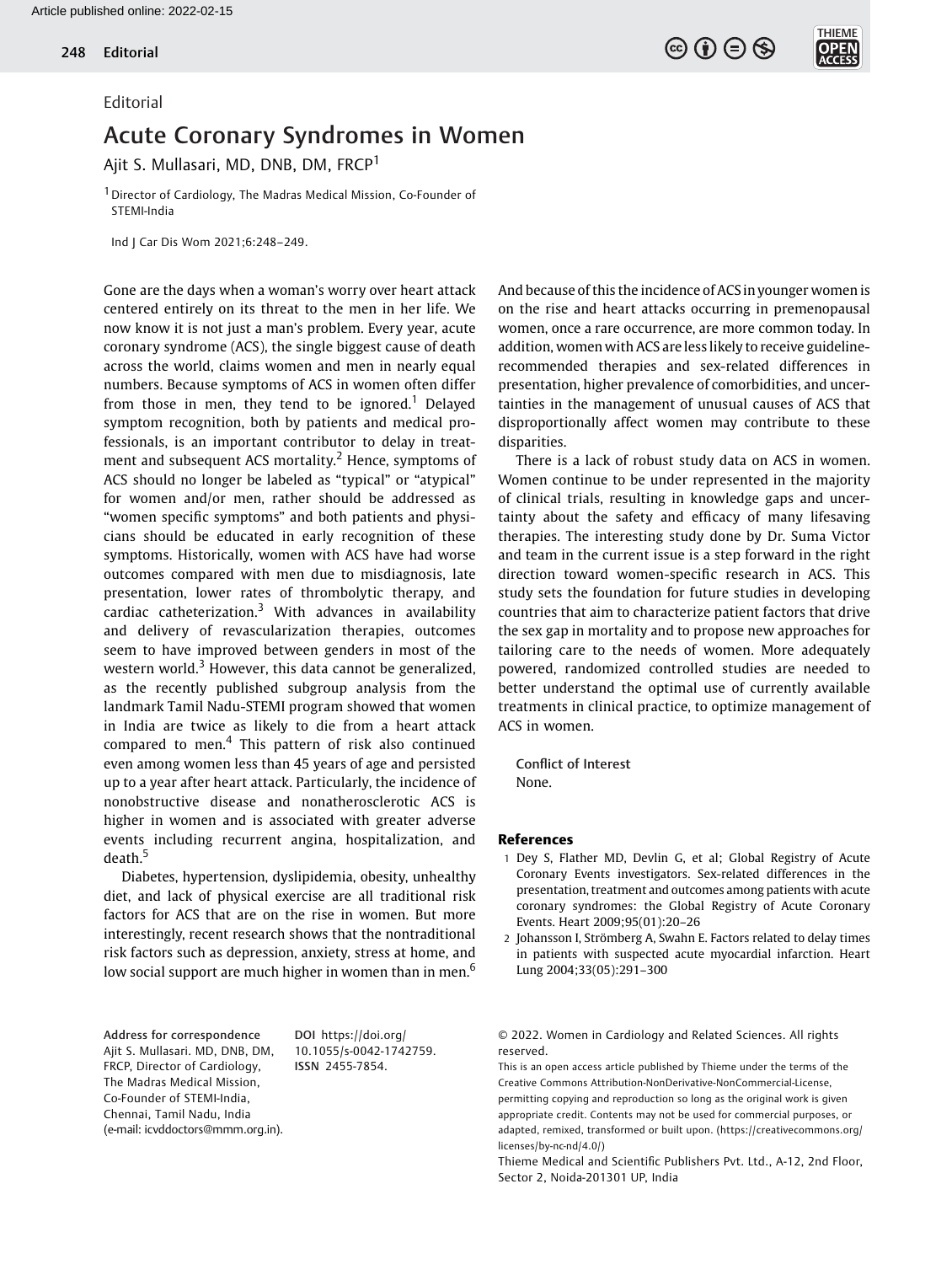## Editorial

## Acute Coronary Syndromes in Women

Ajit S. Mullasari, MD, DNB, DM, FRCP<sup>1</sup>

1Director of Cardiology, The Madras Medical Mission, Co-Founder of STEMI-India

Ind J Car Dis Wom 2021;6:248–249.

Gone are the days when a woman's worry over heart attack centered entirely on its threat to the men in her life. We now know it is not just a man's problem. Every year, acute coronary syndrome (ACS), the single biggest cause of death across the world, claims women and men in nearly equal numbers. Because symptoms of ACS in women often differ from those in men, they tend to be ignored.<sup>1</sup> Delayed symptom recognition, both by patients and medical professionals, is an important contributor to delay in treatment and subsequent ACS mortality.<sup>2</sup> Hence, symptoms of ACS should no longer be labeled as "typical" or "atypical" for women and/or men, rather should be addressed as "women specific symptoms" and both patients and physicians should be educated in early recognition of these symptoms. Historically, women with ACS have had worse outcomes compared with men due to misdiagnosis, late presentation, lower rates of thrombolytic therapy, and cardiac catheterization.<sup>3</sup> With advances in availability and delivery of revascularization therapies, outcomes seem to have improved between genders in most of the western world.<sup>3</sup> However, this data cannot be generalized, as the recently published subgroup analysis from the landmark Tamil Nadu-STEMI program showed that women in India are twice as likely to die from a heart attack compared to men.<sup>4</sup> This pattern of risk also continued even among women less than 45 years of age and persisted up to a year after heart attack. Particularly, the incidence of nonobstructive disease and nonatherosclerotic ACS is higher in women and is associated with greater adverse events including recurrent angina, hospitalization, and death.<sup>5</sup>

Diabetes, hypertension, dyslipidemia, obesity, unhealthy diet, and lack of physical exercise are all traditional risk factors for ACS that are on the rise in women. But more interestingly, recent research shows that the nontraditional risk factors such as depression, anxiety, stress at home, and low social support are much higher in women than in men.<sup>6</sup>

Address for correspondence Ajit S. Mullasari. MD, DNB, DM, FRCP, Director of Cardiology, The Madras Medical Mission, Co-Founder of STEMI-India, Chennai, Tamil Nadu, India (e-mail: [icvddoctors@mmm.org.in](mailto:)).

DOI [https://doi.org/](https://doi.org/10.1055/s-0042-1742759) [10.1055/s-0042-1742759](https://doi.org/10.1055/s-0042-1742759). ISSN 2455-7854.

And because of this the incidence of ACSin younger women is on the rise and heart attacks occurring in premenopausal women, once a rare occurrence, are more common today. In addition, women with ACS are less likely to receive guidelinerecommended therapies and sex-related differences in presentation, higher prevalence of comorbidities, and uncertainties in the management of unusual causes of ACS that disproportionally affect women may contribute to these disparities.

 $\left(\begin{matrix} 6 \end{matrix}\right)$   $\left(\begin{matrix} 6 \end{matrix}\right)$   $\left(\begin{matrix} 6 \end{matrix}\right)$ 

There is a lack of robust study data on ACS in women. Women continue to be under represented in the majority of clinical trials, resulting in knowledge gaps and uncertainty about the safety and efficacy of many lifesaving therapies. The interesting study done by Dr. Suma Victor and team in the current issue is a step forward in the right direction toward women-specific research in ACS. This study sets the foundation for future studies in developing countries that aim to characterize patient factors that drive the sex gap in mortality and to propose new approaches for tailoring care to the needs of women. More adequately powered, randomized controlled studies are needed to better understand the optimal use of currently available treatments in clinical practice, to optimize management of ACS in women.

Conflict of Interest None.

## References

1 Dey S, Flather MD, Devlin G, et al; Global Registry of Acute Coronary Events investigators. Sex-related differences in the presentation, treatment and outcomes among patients with acute coronary syndromes: the Global Registry of Acute Coronary Events. Heart 2009;95(01):20–26

2 Johansson I, Strömberg A, Swahn E. Factors related to delay times in patients with suspected acute myocardial infarction. Heart Lung 2004;33(05):291–300

© 2022. Women in Cardiology and Related Sciences. All rights reserved.

This is an open access article published by Thieme under the terms of the Creative Commons Attribution-NonDerivative-NonCommercial-License, permitting copying and reproduction so long as the original work is given appropriate credit. Contents may not be used for commercial purposes, or adapted, remixed, transformed or built upon. (https://creativecommons.org/ licenses/by-nc-nd/4.0/)

Thieme Medical and Scientific Publishers Pvt. Ltd., A-12, 2nd Floor, Sector 2, Noida-201301 UP, India